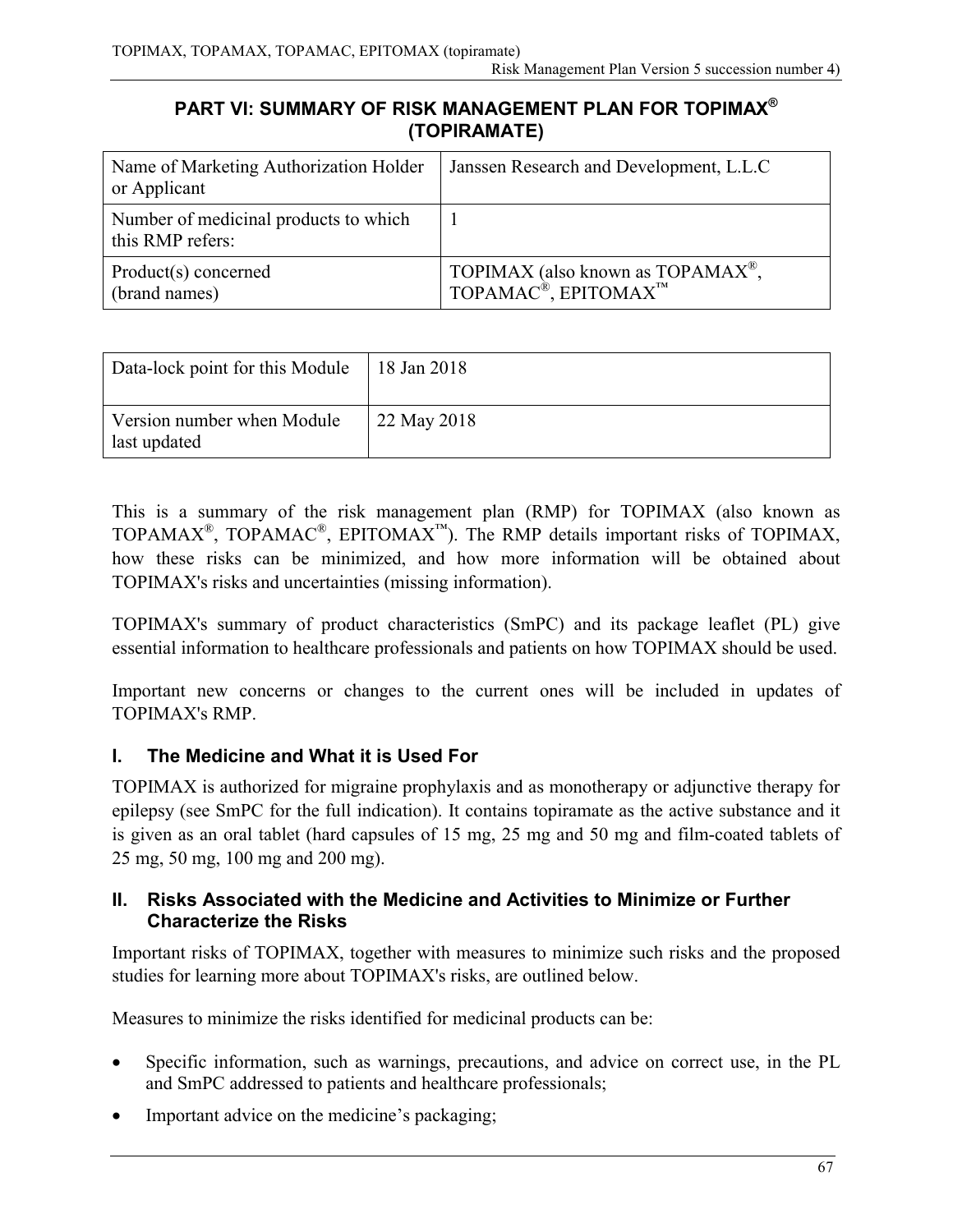### **PART VI: SUMMARY OF RISK MANAGEMENT PLAN FOR TOPIMAX ® (TOPIRAMATE)**

| Name of Marketing Authorization Holder<br>or Applicant    | Janssen Research and Development, L.L.C.                                            |
|-----------------------------------------------------------|-------------------------------------------------------------------------------------|
| Number of medicinal products to which<br>this RMP refers: |                                                                                     |
| Product(s) concerned<br>(brand names)                     | TOPIMAX (also known as $TOPAMAX^{\circledast}$ ,<br>TOPAMAC®, EPITOMAX <sup>™</sup> |

| Data-lock point for this Module            | 18 Jan 2018 |
|--------------------------------------------|-------------|
| Version number when Module<br>last updated | 22 May 2018 |

This is a summary of the risk management plan (RMP) for TOPIMAX (also known as TOPAMAX<sup>®</sup>, TOPAMAC<sup>®</sup>, EPITOMAX<sup>™</sup>). The RMP details important risks of TOPIMAX, how these risks can be minimized, and how more information will be obtained about TOPIMAX's risks and uncertainties (missing information).

TOPIMAX's summary of product characteristics (SmPC) and its package leaflet (PL) give essential information to healthcare professionals and patients on how TOPIMAX should be used.

Important new concerns or changes to the current ones will be included in updates of TOPIMAX's RMP.

# **I. The Medicine and What it is Used For**

TOPIMAX is authorized for migraine prophylaxis and as monotherapy or adjunctive therapy for epilepsy (see SmPC for the full indication). It contains topiramate as the active substance and it is given as an oral tablet (hard capsules of 15 mg, 25 mg and 50 mg and film-coated tablets of 25 mg, 50 mg, 100 mg and 200 mg).

#### **II. Risks Associated with the Medicine and Activities to Minimize or Further Characterize the Risks**

Important risks of TOPIMAX, together with measures to minimize such risks and the proposed studies for learning more about TOPIMAX's risks, are outlined below.

Measures to minimize the risks identified for medicinal products can be:

- Specific information, such as warnings, precautions, and advice on correct use, in the PL and SmPC addressed to patients and healthcare professionals;
- Important advice on the medicine's packaging;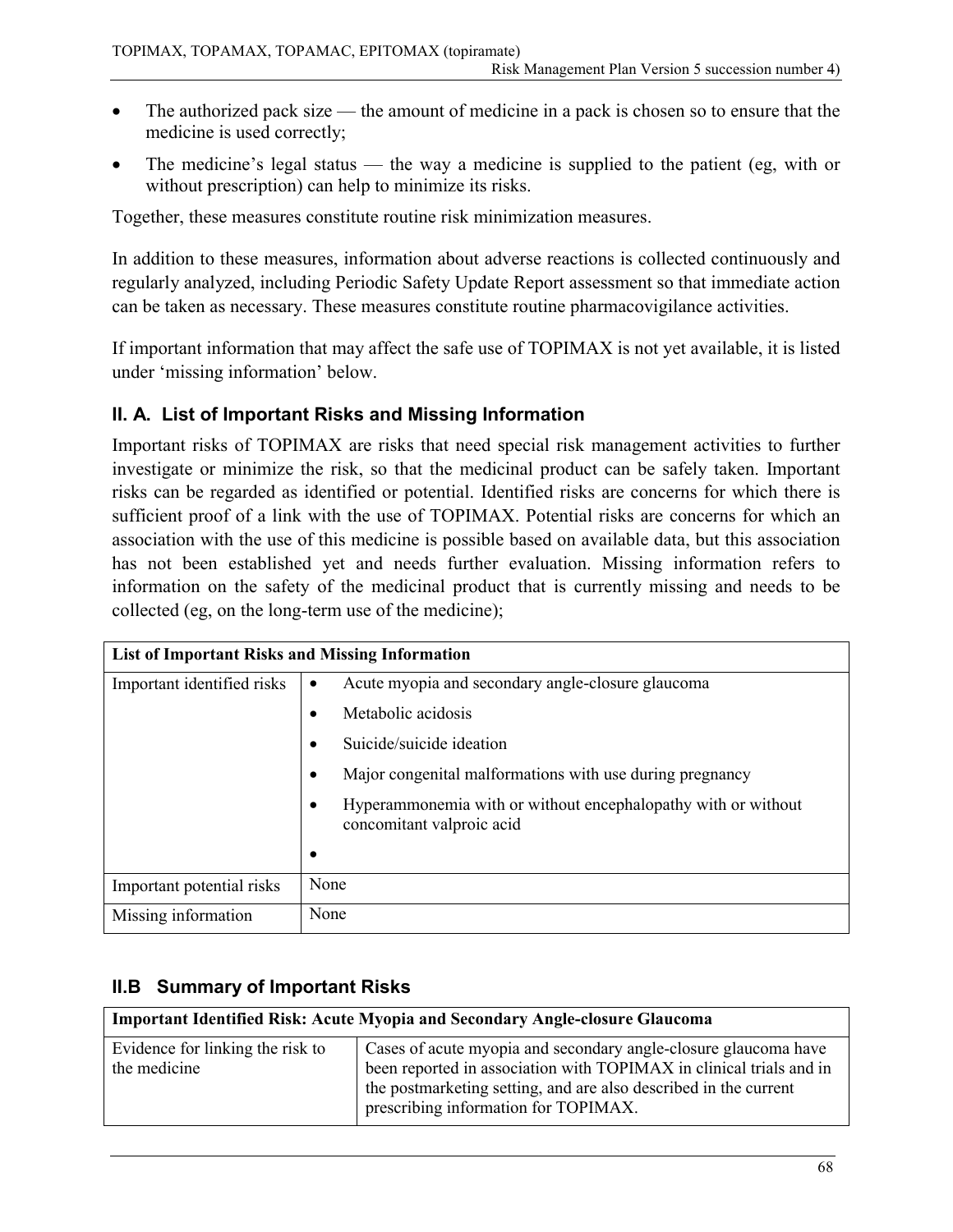- The authorized pack size the amount of medicine in a pack is chosen so to ensure that the medicine is used correctly;
- The medicine's legal status the way a medicine is supplied to the patient (eg, with or without prescription) can help to minimize its risks.

Together, these measures constitute routine risk minimization measures.

In addition to these measures, information about adverse reactions is collected continuously and regularly analyzed, including Periodic Safety Update Report assessment so that immediate action can be taken as necessary. These measures constitute routine pharmacovigilance activities.

If important information that may affect the safe use of TOPIMAX is not yet available, it is listed under 'missing information' below.

### **II. A. List of Important Risks and Missing Information**

Important risks of TOPIMAX are risks that need special risk management activities to further investigate or minimize the risk, so that the medicinal product can be safely taken. Important risks can be regarded as identified or potential. Identified risks are concerns for which there is sufficient proof of a link with the use of TOPIMAX. Potential risks are concerns for which an association with the use of this medicine is possible based on available data, but this association has not been established yet and needs further evaluation. Missing information refers to information on the safety of the medicinal product that is currently missing and needs to be collected (eg, on the long-term use of the medicine);

| <b>List of Important Risks and Missing Information</b> |                                                                                            |
|--------------------------------------------------------|--------------------------------------------------------------------------------------------|
| Important identified risks                             | Acute myopia and secondary angle-closure glaucoma<br>٠                                     |
|                                                        | Metabolic acidosis<br>$\bullet$                                                            |
|                                                        | Suicide/suicide ideation                                                                   |
|                                                        | Major congenital malformations with use during pregnancy<br>$\bullet$                      |
|                                                        | Hyperammonemia with or without encephalopathy with or without<br>concomitant valproic acid |
|                                                        | ٠                                                                                          |
| Important potential risks                              | None                                                                                       |
| Missing information                                    | None                                                                                       |

# **II.B Summary of Important Risks**

| <b>Important Identified Risk: Acute Myopia and Secondary Angle-closure Glaucoma</b> |                                                                                                                                                                                                                                                    |
|-------------------------------------------------------------------------------------|----------------------------------------------------------------------------------------------------------------------------------------------------------------------------------------------------------------------------------------------------|
| Evidence for linking the risk to<br>the medicine                                    | Cases of acute myopia and secondary angle-closure glaucoma have<br>been reported in association with TOPIMAX in clinical trials and in<br>the postmarketing setting, and are also described in the current<br>prescribing information for TOPIMAX. |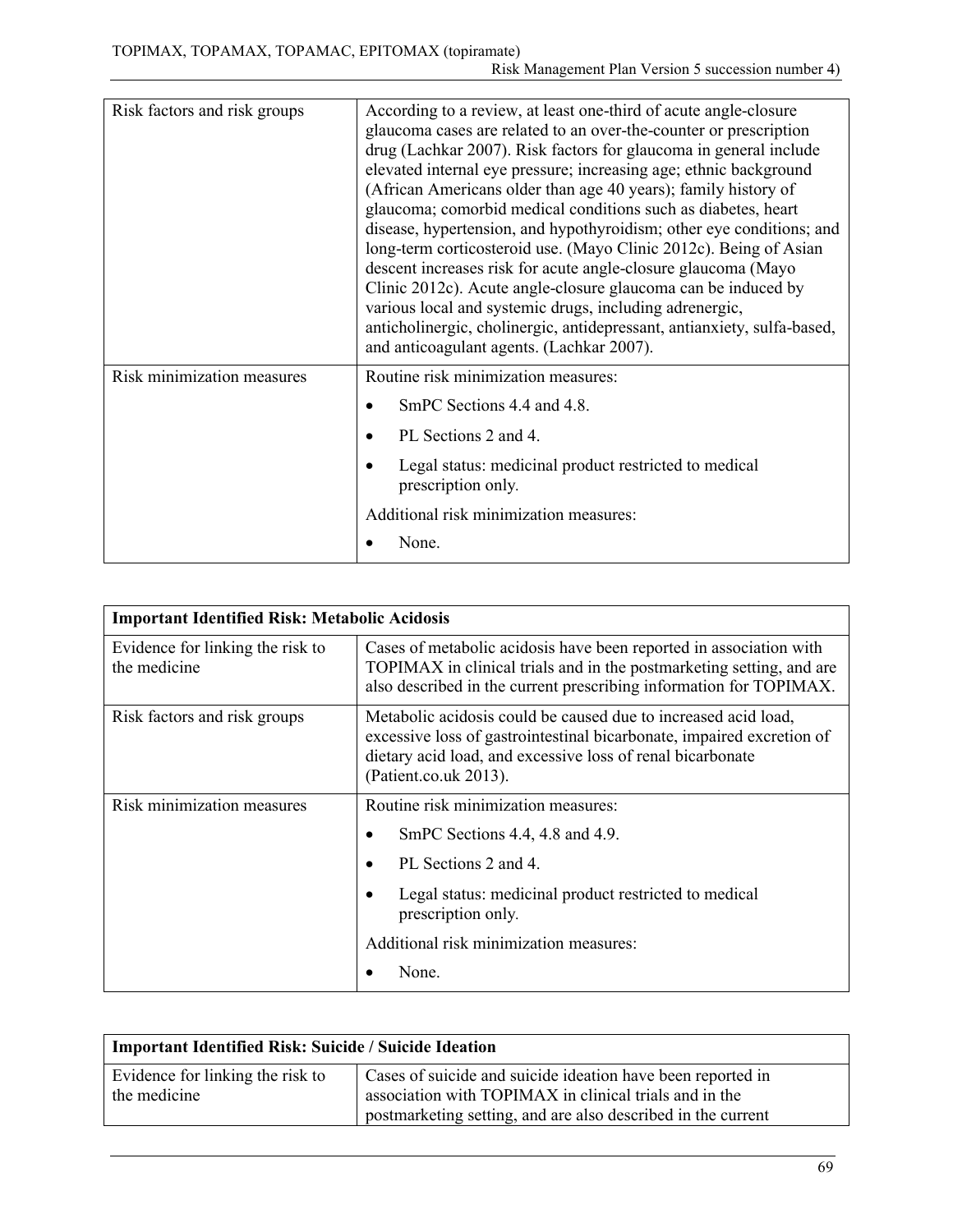| Risk factors and risk groups | According to a review, at least one-third of acute angle-closure<br>glaucoma cases are related to an over-the-counter or prescription<br>drug (Lachkar 2007). Risk factors for glaucoma in general include<br>elevated internal eye pressure; increasing age; ethnic background<br>(African Americans older than age 40 years); family history of<br>glaucoma; comorbid medical conditions such as diabetes, heart<br>disease, hypertension, and hypothyroidism; other eye conditions; and<br>long-term corticosteroid use. (Mayo Clinic 2012c). Being of Asian<br>descent increases risk for acute angle-closure glaucoma (Mayo<br>Clinic 2012c). Acute angle-closure glaucoma can be induced by<br>various local and systemic drugs, including adrenergic,<br>anticholinergic, cholinergic, antidepressant, antianxiety, sulfa-based,<br>and anticoagulant agents. (Lachkar 2007). |
|------------------------------|--------------------------------------------------------------------------------------------------------------------------------------------------------------------------------------------------------------------------------------------------------------------------------------------------------------------------------------------------------------------------------------------------------------------------------------------------------------------------------------------------------------------------------------------------------------------------------------------------------------------------------------------------------------------------------------------------------------------------------------------------------------------------------------------------------------------------------------------------------------------------------------|
| Risk minimization measures   | Routine risk minimization measures:                                                                                                                                                                                                                                                                                                                                                                                                                                                                                                                                                                                                                                                                                                                                                                                                                                                  |
|                              | SmPC Sections 4.4 and 4.8.                                                                                                                                                                                                                                                                                                                                                                                                                                                                                                                                                                                                                                                                                                                                                                                                                                                           |
|                              | PL Sections 2 and 4.                                                                                                                                                                                                                                                                                                                                                                                                                                                                                                                                                                                                                                                                                                                                                                                                                                                                 |
|                              | Legal status: medicinal product restricted to medical<br>prescription only.                                                                                                                                                                                                                                                                                                                                                                                                                                                                                                                                                                                                                                                                                                                                                                                                          |
|                              | Additional risk minimization measures:                                                                                                                                                                                                                                                                                                                                                                                                                                                                                                                                                                                                                                                                                                                                                                                                                                               |
|                              | None.                                                                                                                                                                                                                                                                                                                                                                                                                                                                                                                                                                                                                                                                                                                                                                                                                                                                                |

| <b>Important Identified Risk: Metabolic Acidosis</b> |                                                                                                                                                                                                                                |
|------------------------------------------------------|--------------------------------------------------------------------------------------------------------------------------------------------------------------------------------------------------------------------------------|
| Evidence for linking the risk to<br>the medicine     | Cases of metabolic acidosis have been reported in association with<br>TOPIMAX in clinical trials and in the postmarketing setting, and are<br>also described in the current prescribing information for TOPIMAX.               |
| Risk factors and risk groups                         | Metabolic acidosis could be caused due to increased acid load,<br>excessive loss of gastrointestinal bicarbonate, impaired excretion of<br>dietary acid load, and excessive loss of renal bicarbonate<br>(Patient.co.uk 2013). |
| Risk minimization measures                           | Routine risk minimization measures:                                                                                                                                                                                            |
|                                                      | SmPC Sections 4.4, 4.8 and 4.9.                                                                                                                                                                                                |
|                                                      | PL Sections 2 and 4.                                                                                                                                                                                                           |
|                                                      | Legal status: medicinal product restricted to medical<br>prescription only.                                                                                                                                                    |
|                                                      | Additional risk minimization measures:                                                                                                                                                                                         |
|                                                      | None.                                                                                                                                                                                                                          |

| <b>Important Identified Risk: Suicide / Suicide Ideation</b> |                                                                                                                                                                                       |
|--------------------------------------------------------------|---------------------------------------------------------------------------------------------------------------------------------------------------------------------------------------|
| Evidence for linking the risk to<br>the medicine             | Cases of suicide and suicide ideation have been reported in<br>association with TOPIMAX in clinical trials and in the<br>postmarketing setting, and are also described in the current |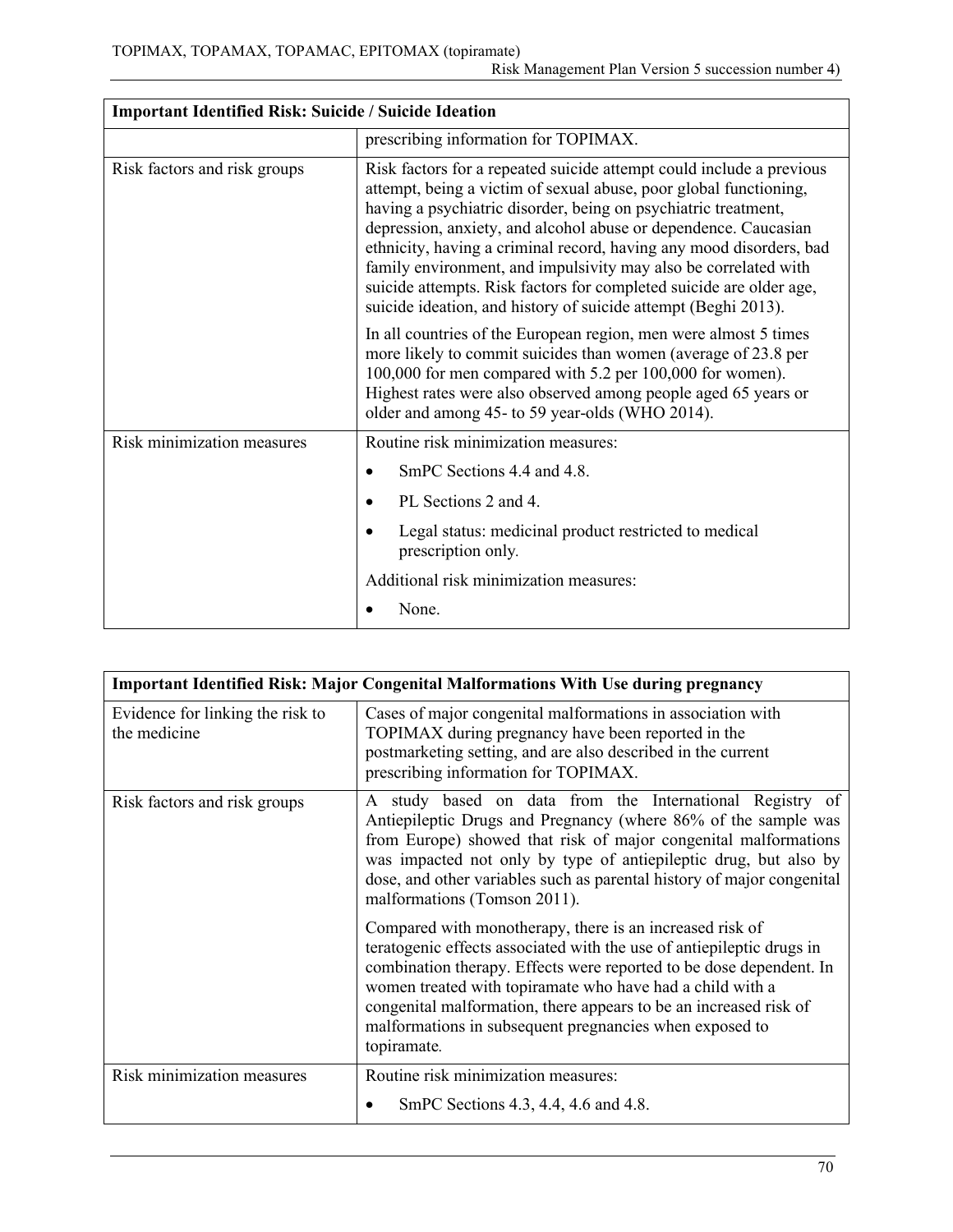| <b>Important Identified Risk: Suicide / Suicide Ideation</b> |                                                                                                                                                                                                                                                                                                                                                                                                                                                                                                                                                                   |
|--------------------------------------------------------------|-------------------------------------------------------------------------------------------------------------------------------------------------------------------------------------------------------------------------------------------------------------------------------------------------------------------------------------------------------------------------------------------------------------------------------------------------------------------------------------------------------------------------------------------------------------------|
|                                                              | prescribing information for TOPIMAX.                                                                                                                                                                                                                                                                                                                                                                                                                                                                                                                              |
| Risk factors and risk groups                                 | Risk factors for a repeated suicide attempt could include a previous<br>attempt, being a victim of sexual abuse, poor global functioning,<br>having a psychiatric disorder, being on psychiatric treatment,<br>depression, anxiety, and alcohol abuse or dependence. Caucasian<br>ethnicity, having a criminal record, having any mood disorders, bad<br>family environment, and impulsivity may also be correlated with<br>suicide attempts. Risk factors for completed suicide are older age,<br>suicide ideation, and history of suicide attempt (Beghi 2013). |
|                                                              | In all countries of the European region, men were almost 5 times<br>more likely to commit suicides than women (average of 23.8 per<br>100,000 for men compared with 5.2 per 100,000 for women).<br>Highest rates were also observed among people aged 65 years or<br>older and among 45- to 59 year-olds (WHO 2014).                                                                                                                                                                                                                                              |
| Risk minimization measures                                   | Routine risk minimization measures:                                                                                                                                                                                                                                                                                                                                                                                                                                                                                                                               |
|                                                              | SmPC Sections 4.4 and 4.8.<br>$\bullet$                                                                                                                                                                                                                                                                                                                                                                                                                                                                                                                           |
|                                                              | PL Sections 2 and 4.                                                                                                                                                                                                                                                                                                                                                                                                                                                                                                                                              |
|                                                              | Legal status: medicinal product restricted to medical<br>prescription only.                                                                                                                                                                                                                                                                                                                                                                                                                                                                                       |
|                                                              | Additional risk minimization measures:                                                                                                                                                                                                                                                                                                                                                                                                                                                                                                                            |
|                                                              | None.                                                                                                                                                                                                                                                                                                                                                                                                                                                                                                                                                             |

| <b>Important Identified Risk: Major Congenital Malformations With Use during pregnancy</b> |                                                                                                                                                                                                                                                                                                                                                                                                                      |
|--------------------------------------------------------------------------------------------|----------------------------------------------------------------------------------------------------------------------------------------------------------------------------------------------------------------------------------------------------------------------------------------------------------------------------------------------------------------------------------------------------------------------|
| Evidence for linking the risk to<br>the medicine                                           | Cases of major congenital malformations in association with<br>TOPIMAX during pregnancy have been reported in the<br>postmarketing setting, and are also described in the current<br>prescribing information for TOPIMAX.                                                                                                                                                                                            |
| Risk factors and risk groups                                                               | A study based on data from the International Registry of<br>Antiepileptic Drugs and Pregnancy (where 86% of the sample was<br>from Europe) showed that risk of major congenital malformations<br>was impacted not only by type of antiepileptic drug, but also by<br>dose, and other variables such as parental history of major congenital<br>malformations (Tomson 2011).                                          |
|                                                                                            | Compared with monotherapy, there is an increased risk of<br>teratogenic effects associated with the use of antiepileptic drugs in<br>combination therapy. Effects were reported to be dose dependent. In<br>women treated with topiramate who have had a child with a<br>congenital malformation, there appears to be an increased risk of<br>malformations in subsequent pregnancies when exposed to<br>topiramate. |
| Risk minimization measures                                                                 | Routine risk minimization measures:<br>SmPC Sections 4.3, 4.4, 4.6 and 4.8.                                                                                                                                                                                                                                                                                                                                          |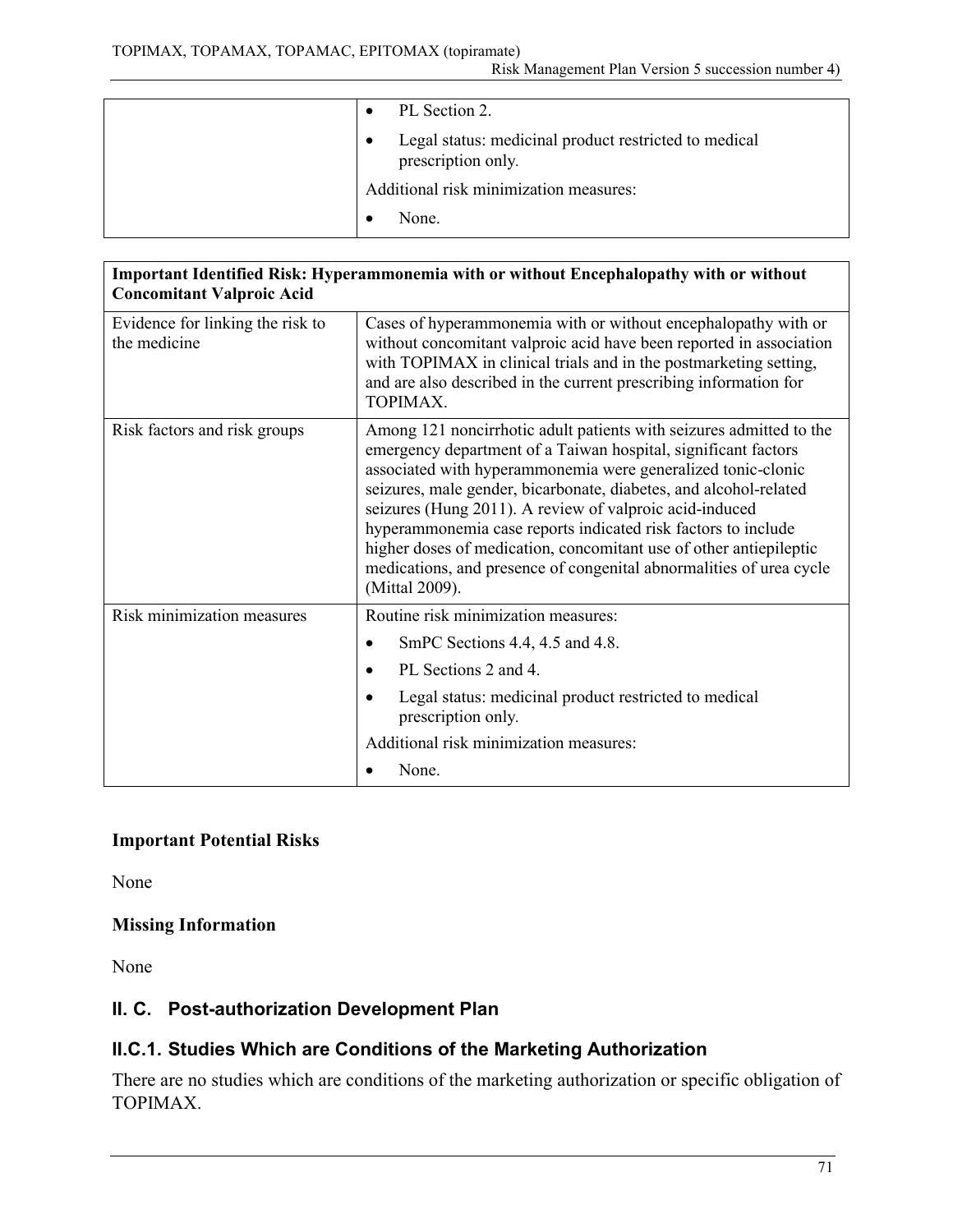| PL Section 2.                                                                            |
|------------------------------------------------------------------------------------------|
| Legal status: medicinal product restricted to medical<br>$\bullet$<br>prescription only. |
| Additional risk minimization measures:                                                   |
| None.                                                                                    |

| Important Identified Risk: Hyperammonemia with or without Encephalopathy with or without<br><b>Concomitant Valproic Acid</b> |                                                                                                                                                                                                                                                                                                                                                                                                                                                                                                                                                                       |
|------------------------------------------------------------------------------------------------------------------------------|-----------------------------------------------------------------------------------------------------------------------------------------------------------------------------------------------------------------------------------------------------------------------------------------------------------------------------------------------------------------------------------------------------------------------------------------------------------------------------------------------------------------------------------------------------------------------|
| Evidence for linking the risk to<br>the medicine                                                                             | Cases of hyperammonemia with or without encephalopathy with or<br>without concomitant valproic acid have been reported in association<br>with TOPIMAX in clinical trials and in the postmarketing setting,<br>and are also described in the current prescribing information for<br>TOPIMAX.                                                                                                                                                                                                                                                                           |
| Risk factors and risk groups                                                                                                 | Among 121 noncirrhotic adult patients with seizures admitted to the<br>emergency department of a Taiwan hospital, significant factors<br>associated with hyperammonemia were generalized tonic-clonic<br>seizures, male gender, bicarbonate, diabetes, and alcohol-related<br>seizures (Hung 2011). A review of valproic acid-induced<br>hyperammonemia case reports indicated risk factors to include<br>higher doses of medication, concomitant use of other antiepileptic<br>medications, and presence of congenital abnormalities of urea cycle<br>(Mittal 2009). |
| Risk minimization measures                                                                                                   | Routine risk minimization measures:                                                                                                                                                                                                                                                                                                                                                                                                                                                                                                                                   |
|                                                                                                                              | SmPC Sections 4.4, 4.5 and 4.8.<br>$\bullet$                                                                                                                                                                                                                                                                                                                                                                                                                                                                                                                          |
|                                                                                                                              | PL Sections 2 and 4.                                                                                                                                                                                                                                                                                                                                                                                                                                                                                                                                                  |
|                                                                                                                              | Legal status: medicinal product restricted to medical<br>prescription only.                                                                                                                                                                                                                                                                                                                                                                                                                                                                                           |
|                                                                                                                              | Additional risk minimization measures:                                                                                                                                                                                                                                                                                                                                                                                                                                                                                                                                |
|                                                                                                                              | None.                                                                                                                                                                                                                                                                                                                                                                                                                                                                                                                                                                 |

### **Important Potential Risks**

None

# **Missing Information**

None

# **II. C. Post-authorization Development Plan**

# **II.C.1. Studies Which are Conditions of the Marketing Authorization**

There are no studies which are conditions of the marketing authorization or specific obligation of TOPIMAX.